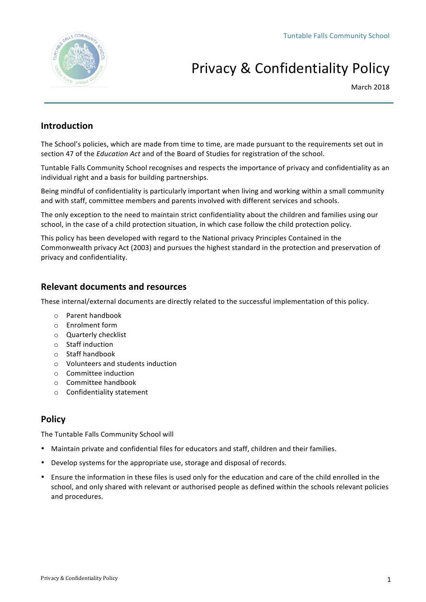

# Privacy & Confidentiality Policy

March 2018

# **Introduction**

The School's policies, which are made from time to time, are made pursuant to the requirements set out in section 47 of the *Education Act* and of the Board of Studies for registration of the school.

Tuntable Falls Community School recognises and respects the importance of privacy and confidentiality as an individual right and a basis for building partnerships.

Being mindful of confidentiality is particularly important when living and working within a small community and with staff, committee members and parents involved with different services and schools.

The only exception to the need to maintain strict confidentiality about the children and families using our school, in the case of a child protection situation, in which case follow the child protection policy.

This policy has been developed with regard to the National privacy Principles Contained in the Commonwealth privacy Act (2003) and pursues the highest standard in the protection and preservation of privacy and confidentiality.

### **Relevant documents and resources**

These internal/external documents are directly related to the successful implementation of this policy.

- $\circ$  Parent handbook
- $\circ$  Enrolment form
- o Quarterly checklist
- $\circ$  Staff induction
- o Staff handbook
- $\circ$  Volunteers and students induction
- $\circ$  Committee induction
- $\circ$  Committee handbook
- o Confidentiality statement

## **Policy**

The Tuntable Falls Community School will

- Maintain private and confidential files for educators and staff, children and their families.
- Develop systems for the appropriate use, storage and disposal of records.
- Ensure the information in these files is used only for the education and care of the child enrolled in the school, and only shared with relevant or authorised people as defined within the schools relevant policies and procedures.